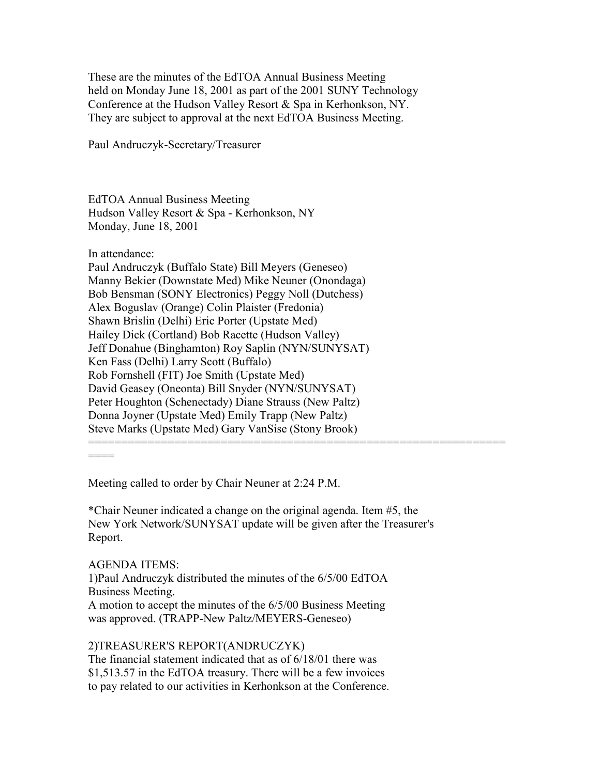These are the minutes of the EdTOA Annual Business Meeting held on Monday June 18, 2001 as part of the 2001 SUNY Technology Conference at the Hudson Valley Resort & Spa in Kerhonkson, NY. They are subject to approval at the next EdTOA Business Meeting.

Paul Andruczyk-Secretary/Treasurer

EdTOA Annual Business Meeting Hudson Valley Resort & Spa - Kerhonkson, NY Monday, June 18, 2001

In attendance:

Paul Andruczyk (Buffalo State) Bill Meyers (Geneseo) Manny Bekier (Downstate Med) Mike Neuner (Onondaga) Bob Bensman (SONY Electronics) Peggy Noll (Dutchess) Alex Boguslav (Orange) Colin Plaister (Fredonia) Shawn Brislin (Delhi) Eric Porter (Upstate Med) Hailey Dick (Cortland) Bob Racette (Hudson Valley) Jeff Donahue (Binghamton) Roy Saplin (NYN/SUNYSAT) Ken Fass (Delhi) Larry Scott (Buffalo) Rob Fornshell (FIT) Joe Smith (Upstate Med) David Geasey (Oneonta) Bill Snyder (NYN/SUNYSAT) Peter Houghton (Schenectady) Diane Strauss (New Paltz) Donna Joyner (Upstate Med) Emily Trapp (New Paltz) Steve Marks (Upstate Med) Gary VanSise (Stony Brook) ===============================================================

====

Meeting called to order by Chair Neuner at 2:24 P.M.

\*Chair Neuner indicated a change on the original agenda. Item #5, the New York Network/SUNYSAT update will be given after the Treasurer's Report.

## AGENDA ITEMS:

1)Paul Andruczyk distributed the minutes of the 6/5/00 EdTOA Business Meeting.

A motion to accept the minutes of the 6/5/00 Business Meeting was approved. (TRAPP-New Paltz/MEYERS-Geneseo)

#### 2)TREASURER'S REPORT(ANDRUCZYK)

The financial statement indicated that as of 6/18/01 there was \$1,513.57 in the EdTOA treasury. There will be a few invoices to pay related to our activities in Kerhonkson at the Conference.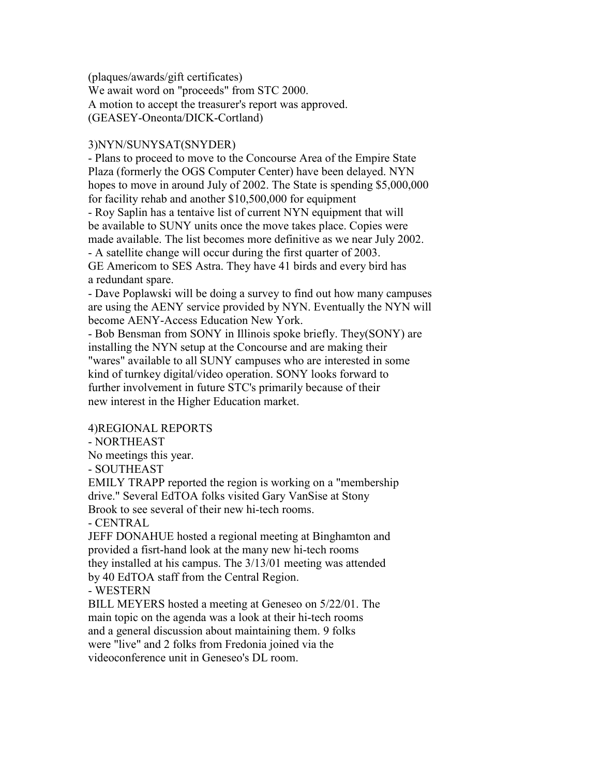(plaques/awards/gift certificates) We await word on "proceeds" from STC 2000. A motion to accept the treasurer's report was approved. (GEASEY-Oneonta/DICK-Cortland)

## 3)NYN/SUNYSAT(SNYDER)

- Plans to proceed to move to the Concourse Area of the Empire State Plaza (formerly the OGS Computer Center) have been delayed. NYN hopes to move in around July of 2002. The State is spending \$5,000,000 for facility rehab and another \$10,500,000 for equipment - Roy Saplin has a tentaive list of current NYN equipment that will be available to SUNY units once the move takes place. Copies were made available. The list becomes more definitive as we near July 2002. - A satellite change will occur during the first quarter of 2003. GE Americom to SES Astra. They have 41 birds and every bird has a redundant spare.

- Dave Poplawski will be doing a survey to find out how many campuses are using the AENY service provided by NYN. Eventually the NYN will become AENY-Access Education New York.

- Bob Bensman from SONY in Illinois spoke briefly. They(SONY) are installing the NYN setup at the Concourse and are making their "wares" available to all SUNY campuses who are interested in some kind of turnkey digital/video operation. SONY looks forward to further involvement in future STC's primarily because of their new interest in the Higher Education market.

## 4)REGIONAL REPORTS

- NORTHEAST

No meetings this year.

- SOUTHEAST

EMILY TRAPP reported the region is working on a "membership drive." Several EdTOA folks visited Gary VanSise at Stony Brook to see several of their new hi-tech rooms.

- CENTRAL

JEFF DONAHUE hosted a regional meeting at Binghamton and provided a fisrt-hand look at the many new hi-tech rooms they installed at his campus. The 3/13/01 meeting was attended by 40 EdTOA staff from the Central Region.

- WESTERN

BILL MEYERS hosted a meeting at Geneseo on 5/22/01. The main topic on the agenda was a look at their hi-tech rooms and a general discussion about maintaining them. 9 folks were "live" and 2 folks from Fredonia joined via the videoconference unit in Geneseo's DL room.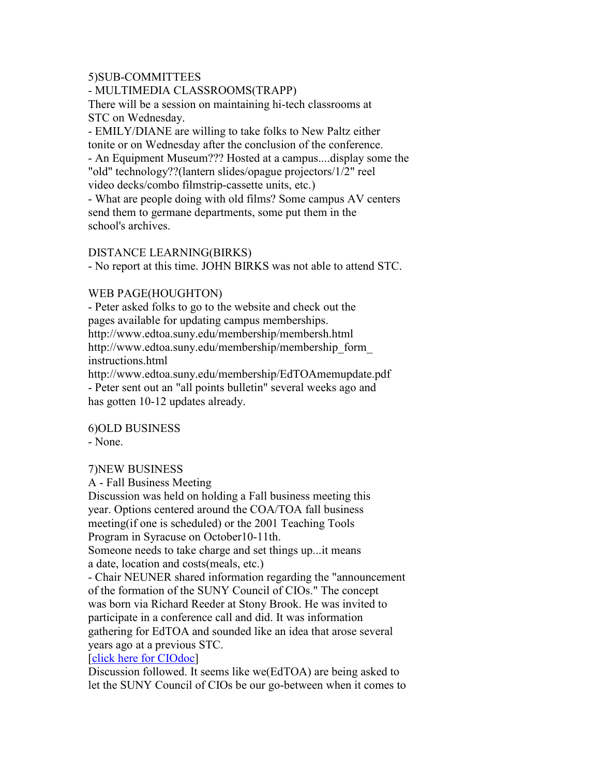#### 5)SUB-COMMITTEES

## - MULTIMEDIA CLASSROOMS(TRAPP)

There will be a session on maintaining hi-tech classrooms at STC on Wednesday.

- EMILY/DIANE are willing to take folks to New Paltz either tonite or on Wednesday after the conclusion of the conference. - An Equipment Museum??? Hosted at a campus....display some the "old" technology??(lantern slides/opague projectors/1/2" reel video decks/combo filmstrip-cassette units, etc.)

- What are people doing with old films? Some campus AV centers send them to germane departments, some put them in the school's archives.

## DISTANCE LEARNING(BIRKS)

- No report at this time. JOHN BIRKS was not able to attend STC.

#### WEB PAGE(HOUGHTON)

- Peter asked folks to go to the website and check out the pages available for updating campus memberships. http://www.edtoa.suny.edu/membership/membersh.html http://www.edtoa.suny.edu/membership/membership\_form\_ instructions.html http://www.edtoa.suny.edu/membership/EdTOAmemupdate.pdf - Peter sent out an "all points bulletin" several weeks ago and has gotten 10-12 updates already.

6)OLD BUSINESS

- None.

## 7)NEW BUSINESS

A - Fall Business Meeting

Discussion was held on holding a Fall business meeting this year. Options centered around the COA/TOA fall business meeting(if one is scheduled) or the 2001 Teaching Tools Program in Syracuse on October10-11th.

Someone needs to take charge and set things up...it means a date, location and costs(meals, etc.)

- Chair NEUNER shared information regarding the "announcement of the formation of the SUNY Council of CIOs." The concept was born via Richard Reeder at Stony Brook. He was invited to participate in a conference call and did. It was information gathering for EdTOA and sounded like an idea that arose several years ago at a previous STC.

## [click here for CIOdoc]

Discussion followed. It seems like we(EdTOA) are being asked to let the SUNY Council of CIOs be our go-between when it comes to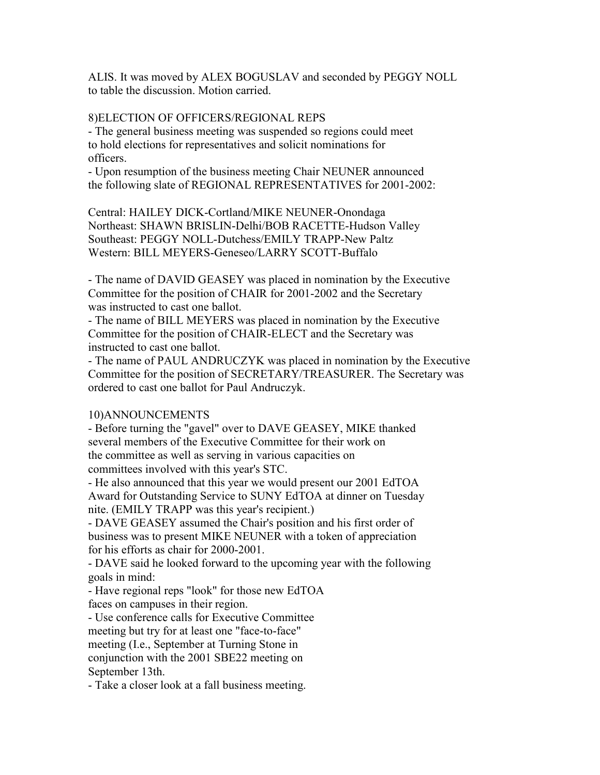ALIS. It was moved by ALEX BOGUSLAV and seconded by PEGGY NOLL to table the discussion. Motion carried.

# 8)ELECTION OF OFFICERS/REGIONAL REPS

- The general business meeting was suspended so regions could meet to hold elections for representatives and solicit nominations for officers.

- Upon resumption of the business meeting Chair NEUNER announced the following slate of REGIONAL REPRESENTATIVES for 2001-2002:

Central: HAILEY DICK-Cortland/MIKE NEUNER-Onondaga Northeast: SHAWN BRISLIN-Delhi/BOB RACETTE-Hudson Valley Southeast: PEGGY NOLL-Dutchess/EMILY TRAPP-New Paltz Western: BILL MEYERS-Geneseo/LARRY SCOTT-Buffalo

- The name of DAVID GEASEY was placed in nomination by the Executive Committee for the position of CHAIR for 2001-2002 and the Secretary was instructed to cast one ballot.

- The name of BILL MEYERS was placed in nomination by the Executive Committee for the position of CHAIR-ELECT and the Secretary was instructed to cast one ballot.

- The name of PAUL ANDRUCZYK was placed in nomination by the Executive Committee for the position of SECRETARY/TREASURER. The Secretary was ordered to cast one ballot for Paul Andruczyk.

# 10)ANNOUNCEMENTS

- Before turning the "gavel" over to DAVE GEASEY, MIKE thanked several members of the Executive Committee for their work on the committee as well as serving in various capacities on committees involved with this year's STC.

- He also announced that this year we would present our 2001 EdTOA Award for Outstanding Service to SUNY EdTOA at dinner on Tuesday nite. (EMILY TRAPP was this year's recipient.)

- DAVE GEASEY assumed the Chair's position and his first order of business was to present MIKE NEUNER with a token of appreciation for his efforts as chair for 2000-2001.

- DAVE said he looked forward to the upcoming year with the following goals in mind:

- Have regional reps "look" for those new EdTOA faces on campuses in their region.

- Use conference calls for Executive Committee meeting but try for at least one "face-to-face" meeting (I.e., September at Turning Stone in conjunction with the 2001 SBE22 meeting on September 13th.

- Take a closer look at a fall business meeting.